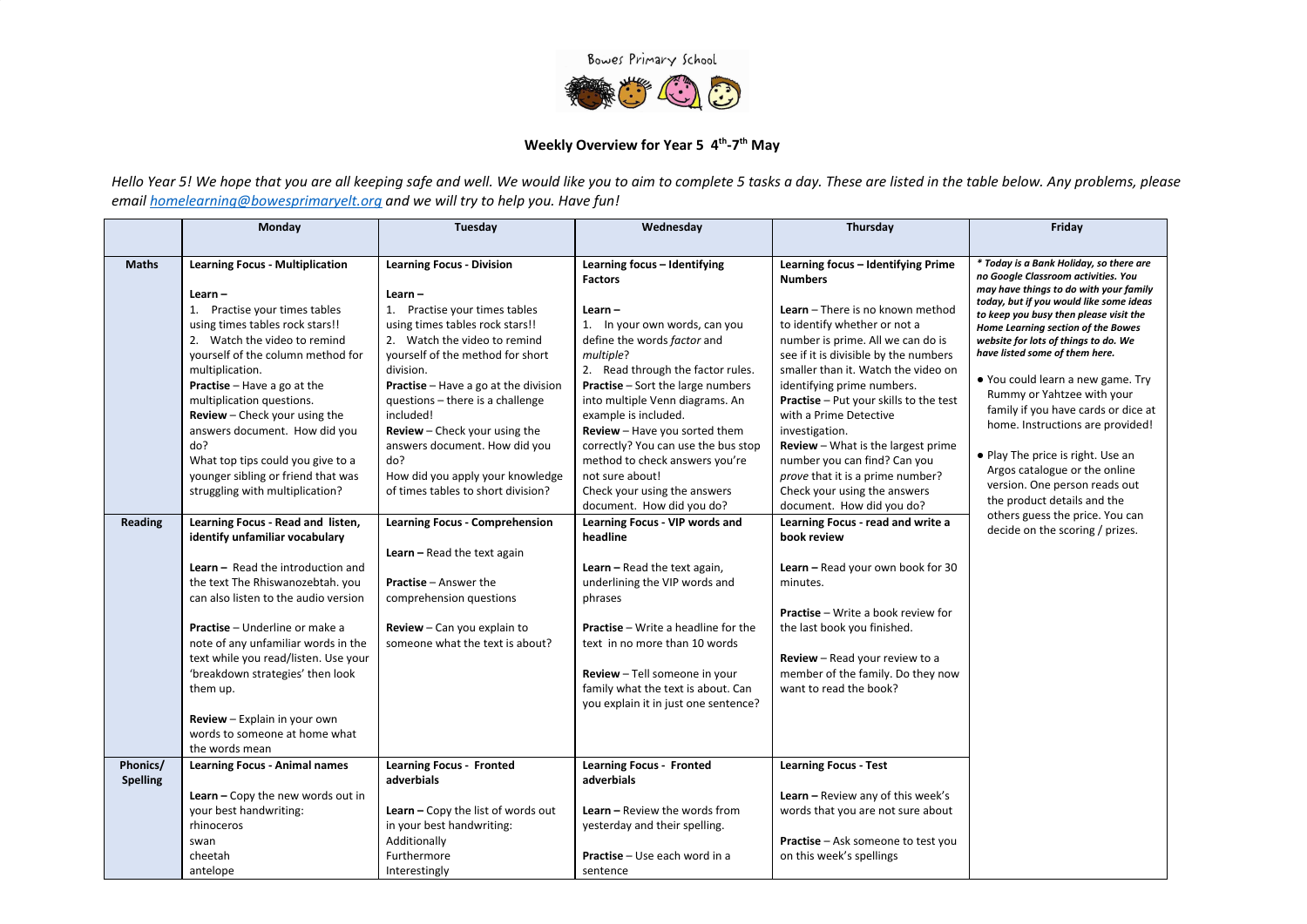

## Weekly Overview for Year 5 4<sup>th</sup>-7<sup>th</sup> May

Hello Year 5! We hope that you are all keeping safe and well. We would like you to aim to complete 5 tasks a day. These are listed in the table below. Any problems, please email [homelearning@bowesprimaryelt.org](mailto:homelearning@bowesprimaryelt.org) and we will try to help you. Have fun!

|                             | Monday                                                                                                                                                                                                                                                                                                                                                                                                                                          | Tuesday                                                                                                                                                                                                                                 | Wednesday                                                                                                                                                                                                                                                                                                              | Thursday                                                                                                                                                                                                                                                                           | Friday                                                                                                                                                                                                                                                                                                                                                             |
|-----------------------------|-------------------------------------------------------------------------------------------------------------------------------------------------------------------------------------------------------------------------------------------------------------------------------------------------------------------------------------------------------------------------------------------------------------------------------------------------|-----------------------------------------------------------------------------------------------------------------------------------------------------------------------------------------------------------------------------------------|------------------------------------------------------------------------------------------------------------------------------------------------------------------------------------------------------------------------------------------------------------------------------------------------------------------------|------------------------------------------------------------------------------------------------------------------------------------------------------------------------------------------------------------------------------------------------------------------------------------|--------------------------------------------------------------------------------------------------------------------------------------------------------------------------------------------------------------------------------------------------------------------------------------------------------------------------------------------------------------------|
|                             |                                                                                                                                                                                                                                                                                                                                                                                                                                                 |                                                                                                                                                                                                                                         |                                                                                                                                                                                                                                                                                                                        |                                                                                                                                                                                                                                                                                    |                                                                                                                                                                                                                                                                                                                                                                    |
| <b>Maths</b>                | <b>Learning Focus - Multiplication</b><br>Learn-<br>1. Practise your times tables<br>using times tables rock stars!!<br>2. Watch the video to remind<br>yourself of the column method for<br>multiplication.<br><b>Practise</b> - Have a go at the                                                                                                                                                                                              | <b>Learning Focus - Division</b><br>Learn-<br>1. Practise your times tables<br>using times tables rock stars!!<br>2. Watch the video to remind<br>yourself of the method for short<br>division.<br>Practise - Have a go at the division | Learning focus - Identifying<br><b>Factors</b><br>$Learn -$<br>1. In your own words, can you<br>define the words factor and<br>multiple?<br>2. Read through the factor rules.<br><b>Practise</b> - Sort the large numbers                                                                                              | Learning focus - Identifying Prime<br><b>Numbers</b><br><b>Learn</b> – There is no known method<br>to identify whether or not a<br>number is prime. All we can do is<br>see if it is divisible by the numbers<br>smaller than it. Watch the video on<br>identifying prime numbers. | * Today is a Bank Holiday, so there are<br>no Google Classroom activities. You<br>may have things to do with your family<br>today, but if you would like some ideas<br>to keep you busy then please visit the<br>Home Learning section of the Bowes<br>website for lots of things to do. We<br>have listed some of them here.<br>. You could learn a new game. Try |
|                             | multiplication questions.<br><b>Review</b> - Check your using the<br>answers document. How did you<br>do?<br>What top tips could you give to a<br>younger sibling or friend that was<br>struggling with multiplication?                                                                                                                                                                                                                         | questions - there is a challenge<br>included!<br>Review - Check your using the<br>answers document. How did you<br>do?<br>How did you apply your knowledge<br>of times tables to short division?                                        | into multiple Venn diagrams. An<br>example is included.<br><b>Review</b> - Have you sorted them<br>correctly? You can use the bus stop<br>method to check answers you're<br>not sure about!<br>Check your using the answers<br>document. How did you do?                                                               | <b>Practise</b> - Put your skills to the test<br>with a Prime Detective<br>investigation.<br><b>Review</b> - What is the largest prime<br>number you can find? Can you<br>prove that it is a prime number?<br>Check your using the answers<br>document. How did you do?            | Rummy or Yahtzee with your<br>family if you have cards or dice at<br>home. Instructions are provided!<br>• Play The price is right. Use an<br>Argos catalogue or the online<br>version. One person reads out<br>the product details and the                                                                                                                        |
| Reading                     | Learning Focus - Read and listen,<br>identify unfamiliar vocabulary<br>Learn - Read the introduction and<br>the text The Rhiswanozebtah. you<br>can also listen to the audio version<br><b>Practise</b> - Underline or make a<br>note of any unfamiliar words in the<br>text while you read/listen. Use your<br>'breakdown strategies' then look<br>them up.<br>Review - Explain in your own<br>words to someone at home what<br>the words mean | <b>Learning Focus - Comprehension</b><br><b>Learn</b> $-$ Read the text again<br><b>Practise - Answer the</b><br>comprehension questions<br>Review - Can you explain to<br>someone what the text is about?                              | Learning Focus - VIP words and<br>headline<br>Learn $-$ Read the text again,<br>underlining the VIP words and<br>phrases<br><b>Practise</b> - Write a headline for the<br>text in no more than 10 words<br>Review - Tell someone in your<br>family what the text is about. Can<br>you explain it in just one sentence? | Learning Focus - read and write a<br>book review<br>Learn - Read your own book for 30<br>minutes.<br><b>Practise</b> – Write a book review for<br>the last book you finished.<br>Review - Read your review to a<br>member of the family. Do they now<br>want to read the book?     | others guess the price. You can<br>decide on the scoring / prizes.                                                                                                                                                                                                                                                                                                 |
| Phonics/<br><b>Spelling</b> | <b>Learning Focus - Animal names</b><br>Learn - Copy the new words out in<br>your best handwriting:<br>rhinoceros<br>swan<br>cheetah<br>antelope                                                                                                                                                                                                                                                                                                | <b>Learning Focus - Fronted</b><br>adverbials<br>Learn - Copy the list of words out<br>in your best handwriting:<br>Additionally<br>Furthermore<br>Interestingly                                                                        | <b>Learning Focus - Fronted</b><br>adverbials<br><b>Learn</b> – Review the words from<br>yesterday and their spelling.<br><b>Practise</b> - Use each word in a<br>sentence                                                                                                                                             | <b>Learning Focus - Test</b><br>Learn - Review any of this week's<br>words that you are not sure about<br>Practise - Ask someone to test you<br>on this week's spellings                                                                                                           |                                                                                                                                                                                                                                                                                                                                                                    |